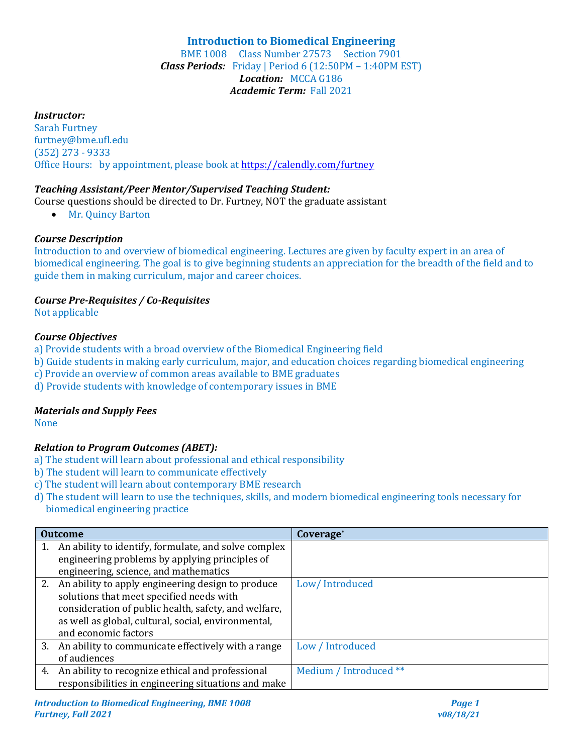# **Introduction to Biomedical Engineering**

BME 1008 Class Number 27573 Section 7901 *Class Periods:* Friday | Period 6 (12:50PM – 1:40PM EST) *Location:* MCCA G186 *Academic Term:* Fall 2021

#### *Instructor:*

Sarah Furtney furtney@bme.ufl.edu (352) 273 - 9333 Office Hours: by appointment, please book at<https://calendly.com/furtney>

#### *Teaching Assistant/Peer Mentor/Supervised Teaching Student:*

- Course questions should be directed to Dr. Furtney, NOT the graduate assistant
	- Mr. Quincy Barton

#### *Course Description*

Introduction to and overview of biomedical engineering. Lectures are given by faculty expert in an area of biomedical engineering. The goal is to give beginning students an appreciation for the breadth of the field and to guide them in making curriculum, major and career choices.

### *Course Pre-Requisites / Co-Requisites*

Not applicable

#### *Course Objectives*

- a) Provide students with a broad overview of the Biomedical Engineering field
- b) Guide students in making early curriculum, major, and education choices regarding biomedical engineering
- c) Provide an overview of common areas available to BME graduates
- d) Provide students with knowledge of contemporary issues in BME

## *Materials and Supply Fees*

None

## *Relation to Program Outcomes (ABET):*

- a) The student will learn about professional and ethical responsibility
- b) The student will learn to communicate effectively
- c) The student will learn about contemporary BME research
- d) The student will learn to use the techniques, skills, and modern biomedical engineering tools necessary for biomedical engineering practice

| <b>Outcome</b> |                                                       | Coverage <sup>*</sup>  |  |
|----------------|-------------------------------------------------------|------------------------|--|
|                | An ability to identify, formulate, and solve complex  |                        |  |
|                | engineering problems by applying principles of        |                        |  |
|                | engineering, science, and mathematics                 |                        |  |
|                | 2. An ability to apply engineering design to produce  | Low/Introduced         |  |
|                | solutions that meet specified needs with              |                        |  |
|                | consideration of public health, safety, and welfare,  |                        |  |
|                | as well as global, cultural, social, environmental,   |                        |  |
|                | and economic factors                                  |                        |  |
|                | 3. An ability to communicate effectively with a range | Low / Introduced       |  |
|                | of audiences                                          |                        |  |
|                | 4. An ability to recognize ethical and professional   | Medium / Introduced ** |  |
|                | responsibilities in engineering situations and make   |                        |  |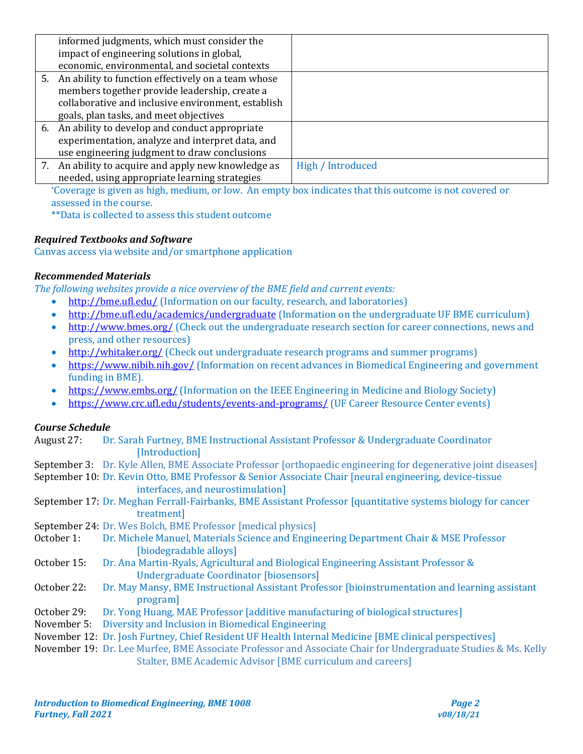| informed judgments, which must consider the           |                   |
|-------------------------------------------------------|-------------------|
| impact of engineering solutions in global,            |                   |
| economic, environmental, and societal contexts        |                   |
| 5. An ability to function effectively on a team whose |                   |
| members together provide leadership, create a         |                   |
| collaborative and inclusive environment, establish    |                   |
| goals, plan tasks, and meet objectives                |                   |
| 6. An ability to develop and conduct appropriate      |                   |
| experimentation, analyze and interpret data, and      |                   |
| use engineering judgment to draw conclusions          |                   |
| 7. An ability to acquire and apply new knowledge as   | High / Introduced |
| needed, using appropriate learning strategies         |                   |

\*Coverage is given as high, medium, or low. An empty box indicates that this outcome is not covered or assessed in the course.

\*\*Data is collected to assess this student outcome

## *Required Textbooks and Software*

Canvas access via website and/or smartphone application

#### *Recommended Materials*

*The following websites provide a nice overview of the BME field and current events:*

- <http://bme.ufl.edu/> (Information on our faculty, research, and laboratories)
- <http://bme.ufl.edu/academics/undergraduate> (Information on the undergraduate UF BME curriculum)
- <http://www.bmes.org/> (Check out the undergraduate research section for career connections, news and press, and other resources)
- <http://whitaker.org/> (Check out undergraduate research programs and summer programs)
- <https://www.nibib.nih.gov/> (Information on recent advances in Biomedical Engineering and government funding in BME).
- <https://www.embs.org/> (Information on the IEEE Engineering in Medicine and Biology Society)
- <https://www.crc.ufl.edu/students/events-and-programs/> (UF Career Resource Center events)

## *Course Schedule*

| August 27: | Dr. Sarah Furtney, BME Instructional Assistant Professor & Undergraduate Coordinator |
|------------|--------------------------------------------------------------------------------------|
|            | [Introduction]                                                                       |

September 3: Dr. Kyle Allen, BME Associate Professor [orthopaedic engineering for degenerative joint diseases]

September 10: Dr. Kevin Otto, BME Professor & Senior Associate Chair [neural engineering, device-tissue interfaces, and neurostimulation]

- September 17: Dr. Meghan Ferrall-Fairbanks, BME Assistant Professor [quantitative systems biology for cancer treatment]
- September 24: Dr. Wes Bolch, BME Professor [medical physics]
- October 1: Dr. Michele Manuel, Materials Science and Engineering Department Chair & MSE Professor [biodegradable alloys]
- October 15: Dr. Ana Martin-Ryals, Agricultural and Biological Engineering Assistant Professor & Undergraduate Coordinator [biosensors]
- October 22: Dr. May Mansy, BME Instructional Assistant Professor [bioinstrumentation and learning assistant program]
- October 29: Dr. Yong Huang, MAE Professor [additive manufacturing of biological structures]
- November 5: Diversity and Inclusion in Biomedical Engineering
- November 12: Dr. Josh Furtney, Chief Resident UF Health Internal Medicine [BME clinical perspectives]
- November 19: Dr. Lee Murfee, BME Associate Professor and Associate Chair for Undergraduate Studies & Ms. Kelly Stalter, BME Academic Advisor [BME curriculum and careers]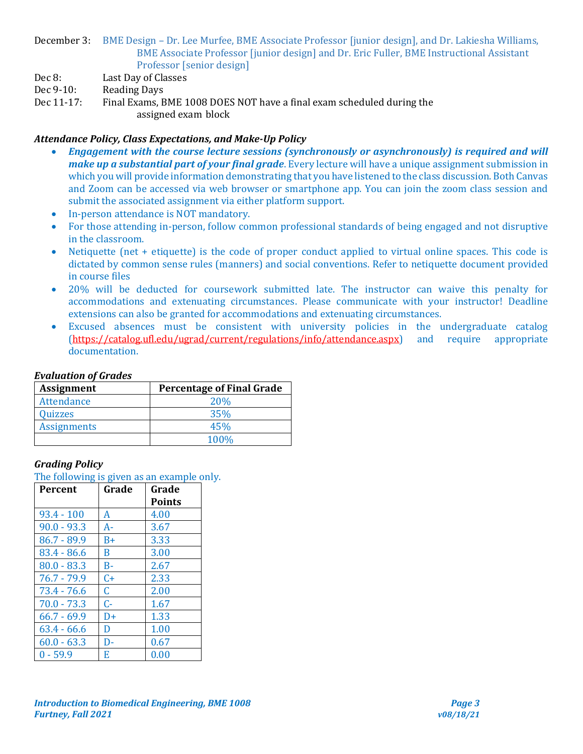December 3: BME Design – Dr. Lee Murfee, BME Associate Professor [junior design], and Dr. Lakiesha Williams, BME Associate Professor [junior design] and Dr. Eric Fuller, BME Instructional Assistant Professor [senior design]

Dec 8: Last Day of Classes

- Dec 9-10: Reading Days
- Dec 11-17: Final Exams, BME 1008 DOES NOT have a final exam scheduled during the assigned exam block

## *Attendance Policy, Class Expectations, and Make-Up Policy*

- *Engagement with the course lecture sessions (synchronously or asynchronously) is required and will make up a substantial part of your final grade*. Every lecture will have a unique assignment submission in which you will provide information demonstrating that you have listened to the class discussion. Both Canvas and Zoom can be accessed via web browser or smartphone app. You can join the zoom class session and submit the associated assignment via either platform support.
- In-person attendance is NOT mandatory.
- For those attending in-person, follow common professional standards of being engaged and not disruptive in the classroom.
- Netiquette (net + etiquette) is the code of proper conduct applied to virtual online spaces. This code is dictated by common sense rules (manners) and social conventions. Refer to netiquette document provided in course files
- 20% will be deducted for coursework submitted late. The instructor can waive this penalty for accommodations and extenuating circumstances. Please communicate with your instructor! Deadline extensions can also be granted for accommodations and extenuating circumstances.
- Excused absences must be consistent with university policies in the undergraduate catalog [\(https://catalog.ufl.edu/ugrad/current/regulations/info/attendance.aspx\)](https://catalog.ufl.edu/ugrad/current/regulations/info/attendance.aspx) and require appropriate documentation.

#### *Evaluation of Grades*

| <b>Assignment</b>  | <b>Percentage of Final Grade</b> |  |
|--------------------|----------------------------------|--|
| Attendance         | <b>20%</b>                       |  |
| Quizzes            | 35%                              |  |
| <b>Assignments</b> | 45%                              |  |
|                    | 100%                             |  |

## *Grading Policy*

The following is given as an example only.

| Percent       | Grade | Grade<br><b>Points</b> |
|---------------|-------|------------------------|
| $93.4 - 100$  | A     | 4.00                   |
| $90.0 - 93.3$ | $A -$ | 3.67                   |
| $86.7 - 89.9$ | $B+$  | 3.33                   |
| $83.4 - 86.6$ | B     | 3.00                   |
| $80.0 - 83.3$ | $B -$ | 2.67                   |
| $76.7 - 79.9$ | $C+$  | 2.33                   |
| 73.4 - 76.6   | C.    | 2.00                   |
| $70.0 - 73.3$ | $C -$ | 1.67                   |
| $66.7 - 69.9$ | D+    | 1.33                   |
| $63.4 - 66.6$ | D     | 1.00                   |
| $60.0 - 63.3$ | D-    | 0.67                   |
| $0 - 59.9$    | E     | 0.00                   |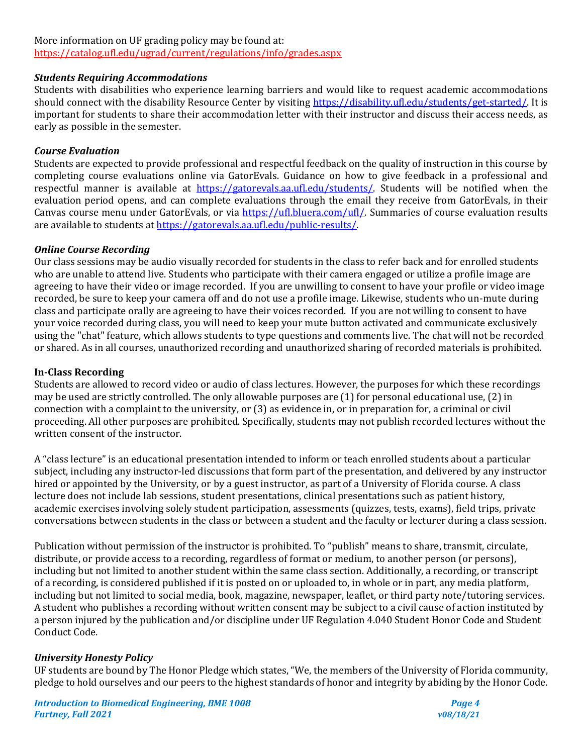## More information on UF grading policy may be found at:

<https://catalog.ufl.edu/ugrad/current/regulations/info/grades.aspx>

#### *Students Requiring Accommodations*

Students with disabilities who experience learning barriers and would like to request academic accommodations should connect with the disability Resource Center by visiting [https://disability.ufl.edu/students/get-started/.](https://disability.ufl.edu/students/get-started/) It is important for students to share their accommodation letter with their instructor and discuss their access needs, as early as possible in the semester.

## *Course Evaluation*

Students are expected to provide professional and respectful feedback on the quality of instruction in this course by completing course evaluations online via GatorEvals. Guidance on how to give feedback in a professional and respectful manner is available at [https://gatorevals.aa.ufl.edu/students/.](https://gatorevals.aa.ufl.edu/students/) Students will be notified when the evaluation period opens, and can complete evaluations through the email they receive from GatorEvals, in their Canvas course menu under GatorEvals, or via [https://ufl.bluera.com/ufl/.](https://ufl.bluera.com/ufl/) Summaries of course evaluation results are available to students at https://gatorevals.aa.ufl.edu/public-results/

## *Online Course Recording*

Our class sessions may be audio visually recorded for students in the class to refer back and for enrolled students who are unable to attend live. Students who participate with their camera engaged or utilize a profile image are agreeing to have their video or image recorded. If you are unwilling to consent to have your profile or video image recorded, be sure to keep your camera off and do not use a profile image. Likewise, students who un-mute during class and participate orally are agreeing to have their voices recorded. If you are not willing to consent to have your voice recorded during class, you will need to keep your mute button activated and communicate exclusively using the "chat" feature, which allows students to type questions and comments live. The chat will not be recorded or shared. As in all courses, unauthorized recording and unauthorized sharing of recorded materials is prohibited.

## **In-Class Recording**

Students are allowed to record video or audio of class lectures. However, the purposes for which these recordings may be used are strictly controlled. The only allowable purposes are (1) for personal educational use, (2) in connection with a complaint to the university, or (3) as evidence in, or in preparation for, a criminal or civil proceeding. All other purposes are prohibited. Specifically, students may not publish recorded lectures without the written consent of the instructor.

A "class lecture" is an educational presentation intended to inform or teach enrolled students about a particular subject, including any instructor-led discussions that form part of the presentation, and delivered by any instructor hired or appointed by the University, or by a guest instructor, as part of a University of Florida course. A class lecture does not include lab sessions, student presentations, clinical presentations such as patient history, academic exercises involving solely student participation, assessments (quizzes, tests, exams), field trips, private conversations between students in the class or between a student and the faculty or lecturer during a class session.

Publication without permission of the instructor is prohibited. To "publish" means to share, transmit, circulate, distribute, or provide access to a recording, regardless of format or medium, to another person (or persons), including but not limited to another student within the same class section. Additionally, a recording, or transcript of a recording, is considered published if it is posted on or uploaded to, in whole or in part, any media platform, including but not limited to social media, book, magazine, newspaper, leaflet, or third party note/tutoring services. A student who publishes a recording without written consent may be subject to a civil cause of action instituted by a person injured by the publication and/or discipline under UF Regulation 4.040 Student Honor Code and Student Conduct Code.

# *University Honesty Policy*

UF students are bound by The Honor Pledge which states, "We, the members of the University of Florida community, pledge to hold ourselves and our peers to the highest standards of honor and integrity by abiding by the Honor Code.

*Introduction to Biomedical Engineering, BME 1008 Page 4 Furtney, Fall 2021 v08/18/21*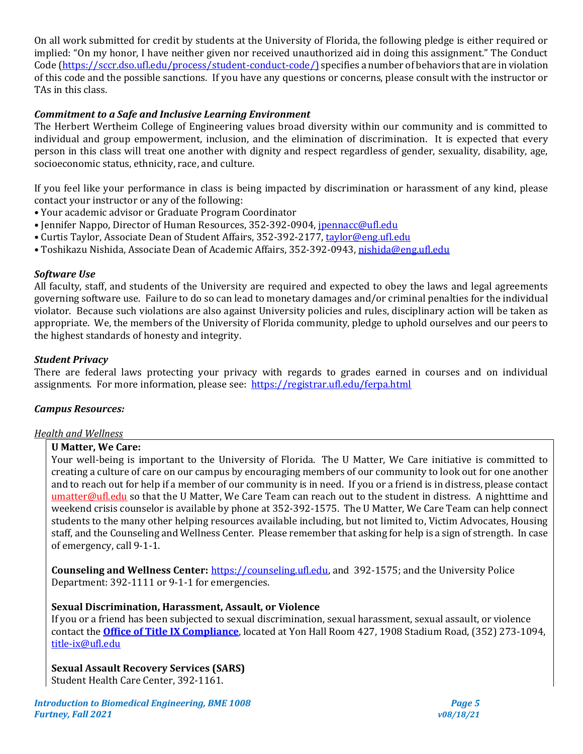On all work submitted for credit by students at the University of Florida, the following pledge is either required or implied: "On my honor, I have neither given nor received unauthorized aid in doing this assignment." The Conduct Code [\(https://sccr.dso.ufl.edu/process/student-conduct-code/\)](https://sccr.dso.ufl.edu/process/student-conduct-code/) specifies a number of behaviors that are in violation of this code and the possible sanctions. If you have any questions or concerns, please consult with the instructor or TAs in this class.

## *Commitment to a Safe and Inclusive Learning Environment*

The Herbert Wertheim College of Engineering values broad diversity within our community and is committed to individual and group empowerment, inclusion, and the elimination of discrimination. It is expected that every person in this class will treat one another with dignity and respect regardless of gender, sexuality, disability, age, socioeconomic status, ethnicity, race, and culture.

If you feel like your performance in class is being impacted by discrimination or harassment of any kind, please contact your instructor or any of the following:

- Your academic advisor or Graduate Program Coordinator
- Jennifer Nappo, Director of Human Resources, 352-392-0904, [jpennacc@ufl.edu](mailto:jpennacc@ufl.edu)
- Curtis Taylor, Associate Dean of Student Affairs, 352-392-2177, [taylor@eng.ufl.edu](mailto:taylor@eng.ufl.edu)
- Toshikazu Nishida, Associate Dean of Academic Affairs, 352-392-0943[, nishida@eng.ufl.edu](mailto:nishida@eng.ufl.edu)

## *Software Use*

All faculty, staff, and students of the University are required and expected to obey the laws and legal agreements governing software use. Failure to do so can lead to monetary damages and/or criminal penalties for the individual violator. Because such violations are also against University policies and rules, disciplinary action will be taken as appropriate. We, the members of the University of Florida community, pledge to uphold ourselves and our peers to the highest standards of honesty and integrity.

#### *Student Privacy*

There are federal laws protecting your privacy with regards to grades earned in courses and on individual assignments. For more information, please see: <https://registrar.ufl.edu/ferpa.html>

## *Campus Resources:*

## *Health and Wellness*

## **U Matter, We Care:**

Your well-being is important to the University of Florida. The U Matter, We Care initiative is committed to creating a culture of care on our campus by encouraging members of our community to look out for one another and to reach out for help if a member of our community is in need. If you or a friend is in distress, please contact [umatter@ufl.edu](mailto:umatter@ufl.edu) so that the U Matter, We Care Team can reach out to the student in distress. A nighttime and weekend crisis counselor is available by phone at 352-392-1575. The U Matter, We Care Team can help connect students to the many other helping resources available including, but not limited to, Victim Advocates, Housing staff, and the Counseling and Wellness Center. Please remember that asking for help is a sign of strength. In case of emergency, call 9-1-1.

**Counseling and Wellness Center:** [https://counseling.ufl.edu,](https://counseling.ufl.edu/) and 392-1575; and the University Police Department: 392-1111 or 9-1-1 for emergencies.

#### **Sexual Discrimination, Harassment, Assault, or Violence**

If you or a friend has been subjected to sexual discrimination, sexual harassment, sexual assault, or violence contact the **[Office of Title IX Compliance](https://titleix.ufl.edu/)**, located at Yon Hall Room 427, 1908 Stadium Road, (352) 273-1094, [title-ix@ufl.edu](mailto:title-ix@ufl.edu)

**Sexual Assault Recovery Services (SARS)**  Student Health Care Center, 392-1161.